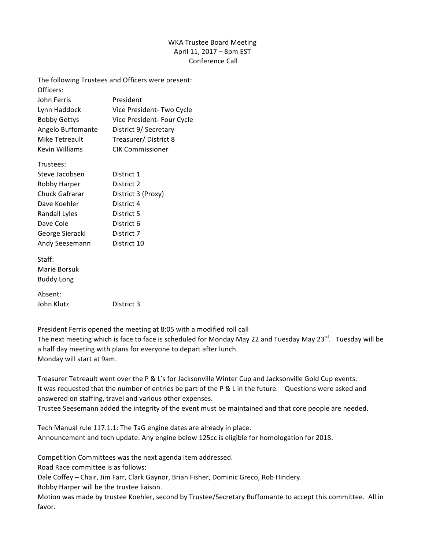## WKA Trustee Board Meeting April 11, 2017 - 8pm EST Conference Call

The following Trustees and Officers were present: Officers: John Ferris President Lynn Haddock Vice President- Two Cycle Bobby Gettys Vice President- Four Cycle Angelo Buffomante District 9/ Secretary Mike Tetreault Treasurer/ District 8 Kevin Williams CIK Commissioner Trustees: Steve Jacobsen District 1 Robby Harper District 2 Chuck Gafrarar District 3 (Proxy) Dave Koehler District 4 Randall Lyles District 5 Dave Cole District 6 George Sieracki District 7 Andy Seesemann District 10 Staff: Marie Borsuk **Buddy Long** Absent: John Klutz **District 3** 

President Ferris opened the meeting at 8:05 with a modified roll call

The next meeting which is face to face is scheduled for Monday May 22 and Tuesday May 23 $^{rd}$ . Tuesday will be a half day meeting with plans for everyone to depart after lunch. Monday will start at 9am.

Treasurer Tetreault went over the P & L's for Jacksonville Winter Cup and Jacksonville Gold Cup events. It was requested that the number of entries be part of the P & L in the future. Questions were asked and answered on staffing, travel and various other expenses.

Trustee Seesemann added the integrity of the event must be maintained and that core people are needed.

Tech Manual rule 117.1.1: The TaG engine dates are already in place. Announcement and tech update: Any engine below 125cc is eligible for homologation for 2018.

Competition Committees was the next agenda item addressed.

Road Race committee is as follows:

Dale Coffey - Chair, Jim Farr, Clark Gaynor, Brian Fisher, Dominic Greco, Rob Hindery. Robby Harper will be the trustee liaison.

Motion was made by trustee Koehler, second by Trustee/Secretary Buffomante to accept this committee. All in favor.